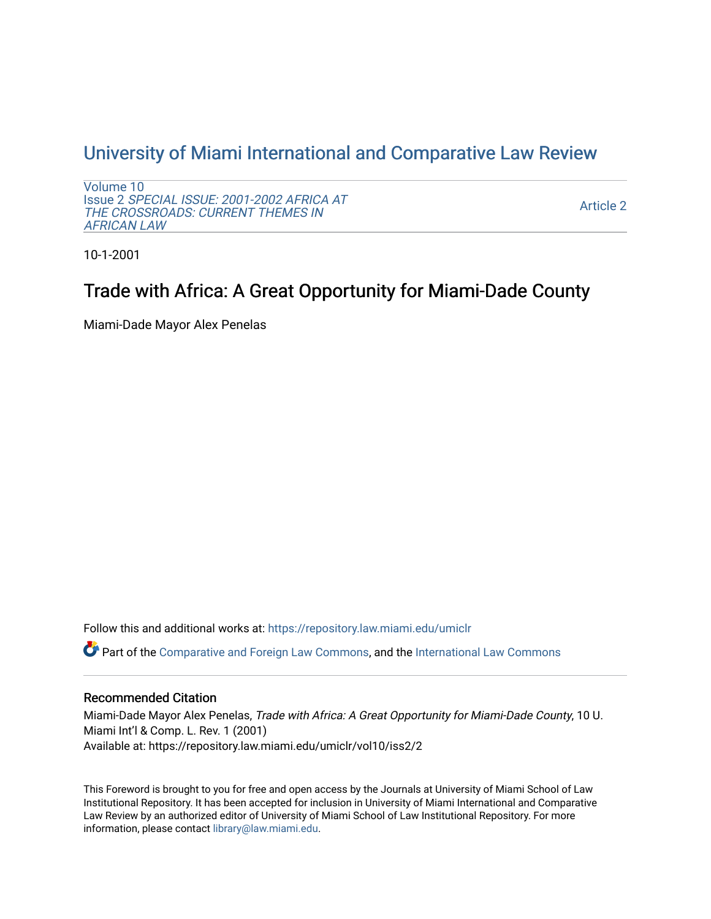## [University of Miami International and Comparative Law Review](https://repository.law.miami.edu/umiclr)

[Volume 10](https://repository.law.miami.edu/umiclr/vol10) Issue 2 [SPECIAL ISSUE: 2001-2002 AFRICA AT](https://repository.law.miami.edu/umiclr/vol10/iss2)  [THE CROSSROADS: CURRENT THEMES IN](https://repository.law.miami.edu/umiclr/vol10/iss2) [AFRICAN LAW](https://repository.law.miami.edu/umiclr/vol10/iss2) 

[Article 2](https://repository.law.miami.edu/umiclr/vol10/iss2/2) 

10-1-2001

# Trade with Africa: A Great Opportunity for Miami-Dade County

Miami-Dade Mayor Alex Penelas

Follow this and additional works at: [https://repository.law.miami.edu/umiclr](https://repository.law.miami.edu/umiclr?utm_source=repository.law.miami.edu%2Fumiclr%2Fvol10%2Fiss2%2F2&utm_medium=PDF&utm_campaign=PDFCoverPages)

Part of the [Comparative and Foreign Law Commons,](http://network.bepress.com/hgg/discipline/836?utm_source=repository.law.miami.edu%2Fumiclr%2Fvol10%2Fiss2%2F2&utm_medium=PDF&utm_campaign=PDFCoverPages) and the [International Law Commons](http://network.bepress.com/hgg/discipline/609?utm_source=repository.law.miami.edu%2Fumiclr%2Fvol10%2Fiss2%2F2&utm_medium=PDF&utm_campaign=PDFCoverPages)

### Recommended Citation

Miami-Dade Mayor Alex Penelas, Trade with Africa: A Great Opportunity for Miami-Dade County, 10 U. Miami Int'l & Comp. L. Rev. 1 (2001) Available at: https://repository.law.miami.edu/umiclr/vol10/iss2/2

This Foreword is brought to you for free and open access by the Journals at University of Miami School of Law Institutional Repository. It has been accepted for inclusion in University of Miami International and Comparative Law Review by an authorized editor of University of Miami School of Law Institutional Repository. For more information, please contact [library@law.miami.edu](mailto:library@law.miami.edu).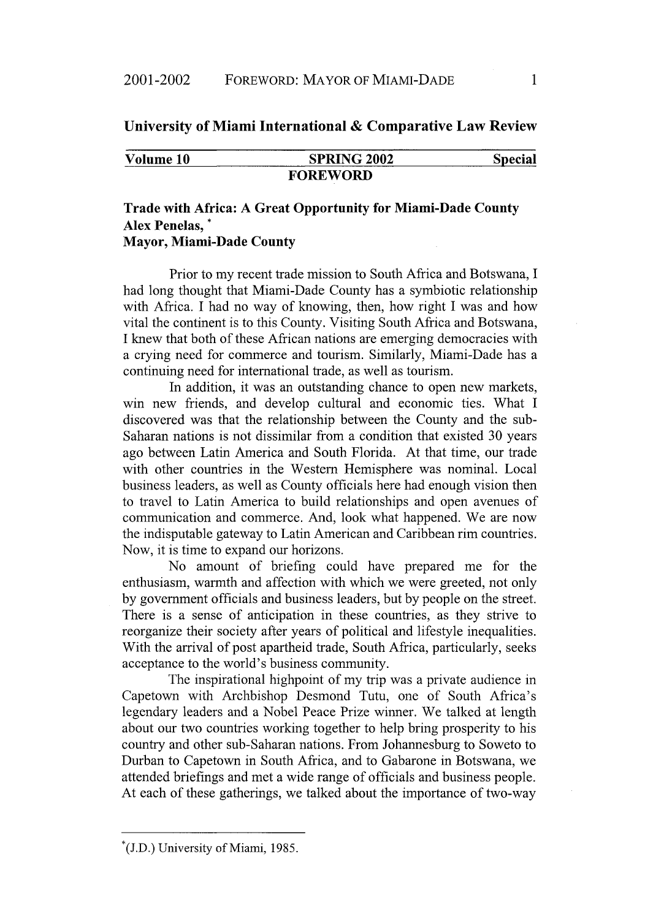#### **University of Miami International & Comparative Law Review**

| Volume 10 |  |
|-----------|--|
|-----------|--|

**SPRING 2002** Special **FOREWORD**

#### **Trade with Africa: A Great Opportunity for Miami-Dade County Alex Penelas, \* Mayor, Miami-Dade County**

Prior to my recent trade mission to South Africa and Botswana, I had long thought that Miami-Dade County has a symbiotic relationship with Africa. I had no way of knowing, then, how right I was and how vital the continent is to this County. Visiting South Africa and Botswana, I knew that both of these African nations are emerging democracies with a crying need for commerce and tourism. Similarly, Miami-Dade has a continuing need for international trade, as well as tourism.

In addition, it was an outstanding chance to open new markets, win new friends, and develop cultural and economic ties. What I discovered was that the relationship between the County and the sub-Saharan nations is not dissimilar from a condition that existed 30 years ago between Latin America and South Florida. At that time, our trade with other countries in the Western Hemisphere was nominal. Local business leaders, as well as County officials here had enough vision then to travel to Latin America to build relationships and open avenues of communication and commerce. And, look what happened. We are now the indisputable gateway to Latin American and Caribbean rim countries. Now, it is time to expand our horizons.

No amount of briefing could have prepared me for the enthusiasm, warmth and affection with which we were greeted, not only by government officials and business leaders, but by people on the street. There is a sense of anticipation in these countries, as they strive to reorganize their society after years of political and lifestyle inequalities. With the arrival of post apartheid trade, South Africa, particularly, seeks acceptance to the world's business community.

The inspirational highpoint of my trip was a private audience in Capetown with Archbishop Desmond Tutu, one of South Africa's legendary leaders and a Nobel Peace Prize winner. We talked at length about our two countries working together to help bring prosperity to his country and other sub-Saharan nations. From Johannesburg to Soweto to Durban to Capetown in South Africa, and to Gabarone in Botswana, we attended briefings and met a wide range of officials and business people. At each of these gatherings, we talked about the importance of two-way

**<sup>\*(</sup>J.D.)** University of Miami, 1985.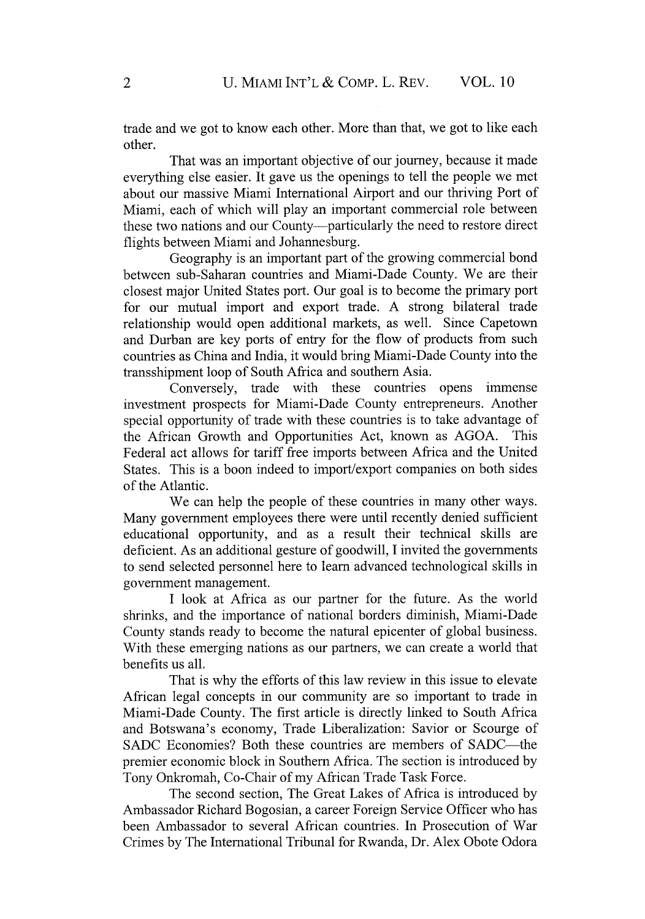trade and we got to know each other. More than that, we got to like each other.

That was an important objective of our journey, because it made everything else easier. It gave us the openings to tell the people we met about our massive Miami International Airport and our thriving Port of Miami, each of which will play an important commercial role between these two nations and our County-particularly the need to restore direct flights between Miami and Johannesburg.

Geography is an important part of the growing commercial bond between sub-Saharan countries and Miami-Dade County. We are their closest major United States port. Our goal is to become the primary port for our mutual import and export trade. A strong bilateral trade relationship would open additional markets, as well. Since Capetown and Durban are key ports of entry for the flow of products from such countries as China and India, it would bring Miami-Dade County into the transshipment loop of South Africa and southern Asia.

Conversely, trade with these countries opens immense investment prospects for Miami-Dade County entrepreneurs. Another special opportunity of trade with these countries is to take advantage of the African Growth and Opportunities Act, known as AGOA. This Federal act allows for tariff free imports between Africa and the United States. This is a boon indeed to import/export companies on both sides of the Atlantic.

We can help the people of these countries in many other ways. Many government employees there were until recently denied sufficient educational opportunity, and as a result their technical skills are deficient. As an additional gesture of goodwill, I invited the governments to send selected personnel here to learn advanced technological skills in government management.

I look at Africa as our partner for the future. As the world shrinks, and the importance of national borders diminish, Miami-Dade County stands ready to become the natural epicenter of global business. With these emerging nations as our partners, we can create a world that benefits us all.

That is why the efforts of this law review in this issue to elevate African legal concepts in our community are so important to trade in Miami-Dade County. The first article is directly linked to South Africa and Botswana's economy, Trade Liberalization: Savior or Scourge of SADC Economies? Both these countries are members of SADC-the premier economic block in Southern Africa. The section is introduced by Tony Onkromah, Co-Chair of my African Trade Task Force.

The second section, The Great Lakes of Africa is introduced by Ambassador Richard Bogosian, a career Foreign Service Officer who has been Ambassador to several African countries. In Prosecution of War Crimes by The International Tribunal for Rwanda, Dr. Alex Obote Odora